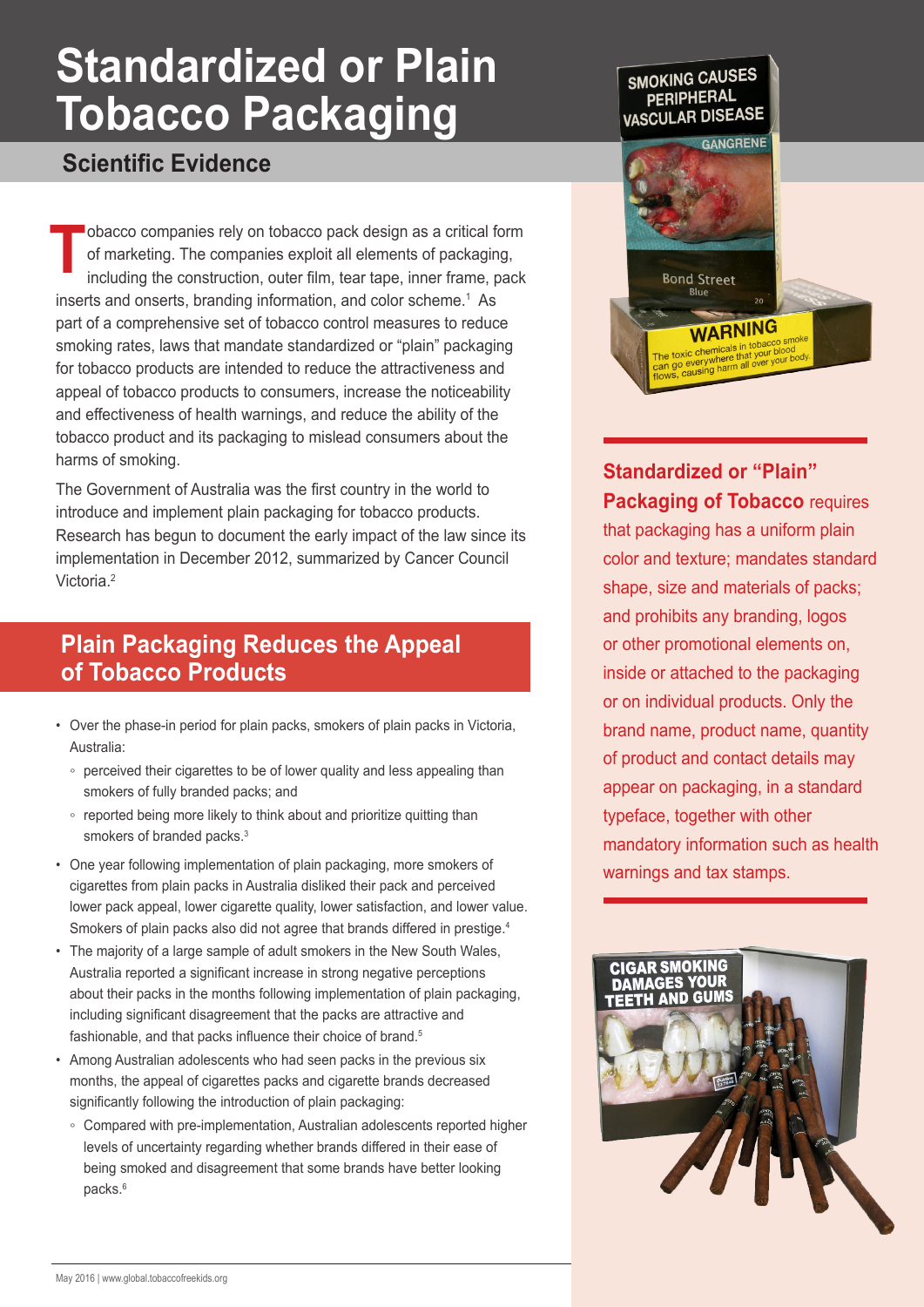# **Standardized or Plain Tobacco Packaging**

### **Scientific Evidence**

obacco companies rely on tobacco pack design as a critical form of marketing. The companies exploit all elements of packaging, including the construction, outer film, tear tape, inner frame, pack inserts and onserts, branding information, and color scheme.<sup>1</sup> As part of a comprehensive set of tobacco control measures to reduce smoking rates, laws that mandate standardized or "plain" packaging for tobacco products are intended to reduce the attractiveness and appeal of tobacco products to consumers, increase the noticeability and effectiveness of health warnings, and reduce the ability of the tobacco product and its packaging to mislead consumers about the harms of smoking. **T**

The Government of Australia was the first country in the world to introduce and implement plain packaging for tobacco products. Research has begun to document the early impact of the law since its implementation in December 2012, summarized by Cancer Council Victoria<sup>2</sup>

## **Plain Packaging Reduces the Appeal of Tobacco Products**

- Over the phase-in period for plain packs, smokers of plain packs in Victoria, Australia:
	- perceived their cigarettes to be of lower quality and less appealing than smokers of fully branded packs; and
	- reported being more likely to think about and prioritize quitting than smokers of branded packs.<sup>3</sup>
- One year following implementation of plain packaging, more smokers of cigarettes from plain packs in Australia disliked their pack and perceived lower pack appeal, lower cigarette quality, lower satisfaction, and lower value. Smokers of plain packs also did not agree that brands differed in prestige.<sup>4</sup>
- The majority of a large sample of adult smokers in the New South Wales, Australia reported a significant increase in strong negative perceptions about their packs in the months following implementation of plain packaging, including significant disagreement that the packs are attractive and fashionable, and that packs influence their choice of brand.<sup>5</sup>
- Among Australian adolescents who had seen packs in the previous six months, the appeal of cigarettes packs and cigarette brands decreased significantly following the introduction of plain packaging:
	- Compared with pre-implementation, Australian adolescents reported higher levels of uncertainty regarding whether brands differed in their ease of being smoked and disagreement that some brands have better looking packs.<sup>6</sup>



**Standardized or "Plain" Packaging of Tobacco** requires that packaging has a uniform plain color and texture; mandates standard shape, size and materials of packs; and prohibits any branding, logos or other promotional elements on, inside or attached to the packaging or on individual products. Only the brand name, product name, quantity of product and contact details may appear on packaging, in a standard typeface, together with other mandatory information such as health warnings and tax stamps.